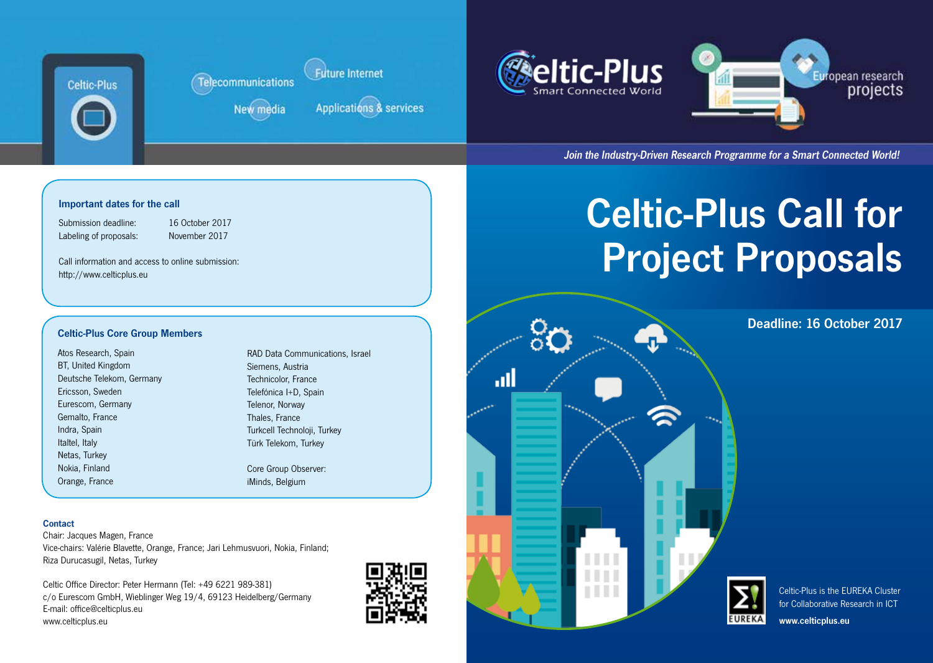



New media

**Future Internet** 

**Applications & services** 



Join the Industry-Driven Research Programme for a Smart Connected World!

#### Important dates for the call

Submission deadline: 16 October 2017 Labeling of proposals: November 2017

Call information and access to online submission: http://www.celticplus.eu

# Celtic-Plus Core Group Members

Atos Research, Spain BT, United Kingdom Deutsche Telekom, Germany Ericsson, Sweden Eurescom, Germany Gemalto, France Indra, Spain Italtel, Italy Netas, Turkey Nokia, Finland Orange, France

RAD Data Communications, Israel Siemens, Austria Technicolor, France Telefónica I+D, Spain Telenor, Norway Thales, France Turkcell Technoloji, Turkey Türk Telekom, Turkey

Core Group Observer: iMinds, Belgium

#### **Contact**

Chair: Jacques Magen, France Vice-chairs: Valérie Blavette, Orange, France; Jari Lehmusvuori, Nokia, Finland; Riza Durucasugil, Netas, Turkey

Celtic Office Director: Peter Hermann (Tel: +49 6221 989-381) c/o Eurescom GmbH, Wieblinger Weg 19/4, 69123 Heidelberg/Germany E-mail: office@celticplus.eu www.celticplus.eu



# Celtic-Plus Call for Project Proposals



Deadline: 16 October 2017